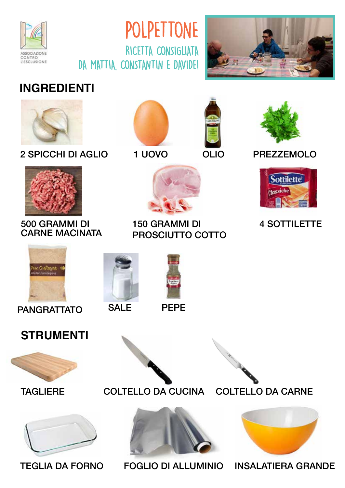





## **INGREDIENTI**



2 SPICCHI DI AGLIO 1 UOVO PREZZEMOLO







OLIO





#### 500 GRAMMI DI CARNE MACINATA



150 GRAMMI DI PROSCIUTTO COTTO

PEPE



### 4 SOTTILETTE



PANGRATTATO







**SALE** 







TEGLIA DA FORNO FOGLIO DI ALLUMINIO INSALATIERA GRANDE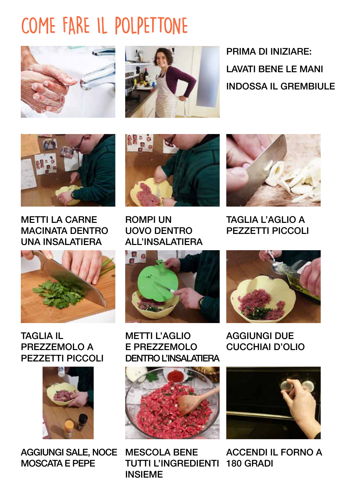# COME FARE IL POLPETTONE





PRIMA DI INIZIARE: LAVATI BENE LE MANI INDOSSA IL GREMBIULE



METTI LA CARNE MACINATA DENTRO UNA INSALATIERA



TAGLIA IL PREZZEMOLO A PEZZETTI PICCOLI



AGGIUNGI SALE, NOCE MOSCATA E PEPE



ROMPI UN UOVO DENTRO ALL'INSALATIERA



METTI L'AGLIO E PREZZEMOLO DENTRO L'INSALATIERA



MESCOLA BENE TUTTI L'INGREDIENTI 180 GRADI INSIEME



TAGLIA L'AGLIO A PEZZETTI PICCOLI



AGGIUNGI DUE CUCCHIAI D'OLIO



ACCENDI IL FORNO A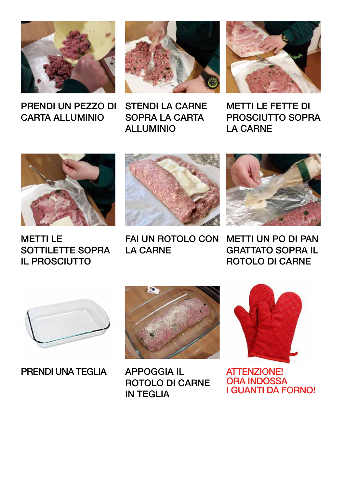



PRENDI UN PEZZO DI CARTA ALLUMINIO

STENDI LA CARNE SOPRA LA CARTA ALLUMINIO



METTI LE FETTE DI PROSCIUTTO SOPRA LA CARNE



METTI LE SOTTILETTE SOPRA IL PROSCIUTTO



FAI UN ROTOLO CON LA CARNE



METTI UN PO DI PAN GRATTATO SOPRA IL ROTOLO DI CARNE



PRENDI UNA TEGLIA



APPOGGIA IL ROTOLO DI CARNE IN TEGLIA



ATTENZIONE! ORA INDOSSA I GUANTI DA FORNO!